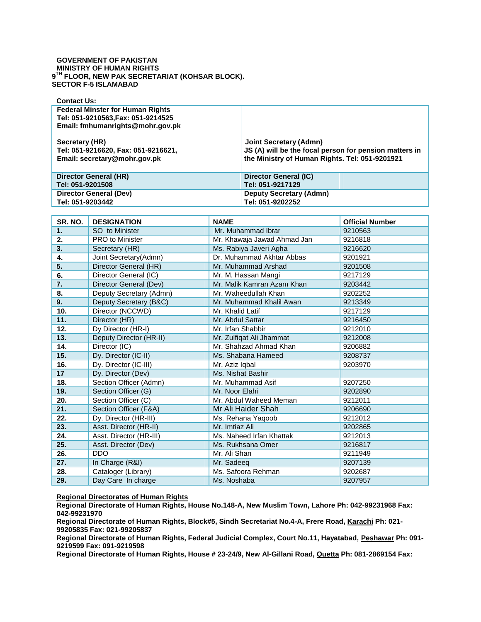## **GOVERNMENT OF PAKISTAN MINISTRY OF HUMAN RIGHTS 9 TH FLOOR, NEW PAK SECRETARIAT (KOHSAR BLOCK). SECTOR F-5 ISLAMABAD**

| <b>Contact Us:</b>                                                                                                |                                                                                                                                    |
|-------------------------------------------------------------------------------------------------------------------|------------------------------------------------------------------------------------------------------------------------------------|
| <b>Federal Minster for Human Rights</b><br>Tel: 051-9210563, Fax: 051-9214525<br>Email: fmhumanrights@mohr.gov.pk |                                                                                                                                    |
| Secretary (HR)<br>Tel: 051-9216620, Fax: 051-9216621,<br>Email: secretary@mohr.gov.pk                             | Joint Secretary (Admn)<br>JS (A) will be the focal person for pension matters in<br>the Ministry of Human Rights. Tel: 051-9201921 |
| Director General (HR)<br>Tel: 051-9201508                                                                         | Director General (IC)<br>Tel: 051-9217129                                                                                          |
|                                                                                                                   |                                                                                                                                    |
| Director General (Dev)                                                                                            | <b>Deputy Secretary (Admn)</b>                                                                                                     |
| Tel: 051-9203442                                                                                                  | Tel: 051-9202252                                                                                                                   |

| SR. NO. | <b>DESIGNATION</b>      | <b>NAME</b>                 | <b>Official Number</b> |
|---------|-------------------------|-----------------------------|------------------------|
| 1.      | SO to Minister          | Mr. Muhammad Ibrar          | 9210563                |
| 2.      | <b>PRO</b> to Minister  | Mr. Khawaja Jawad Ahmad Jan | 9216818                |
| 3.      | Secretary (HR)          | Ms. Rabiya Javeri Agha      | 9216620                |
| 4.      | Joint Secretary(Admn)   | Dr. Muhammad Akhtar Abbas   | 9201921                |
| 5.      | Director General (HR)   | Mr. Muhammad Arshad         | 9201508                |
| 6.      | Director General (IC)   | Mr. M. Hassan Mangi         | 9217129                |
| 7.      | Director General (Dev)  | Mr. Malik Kamran Azam Khan  | 9203442                |
| 8.      | Deputy Secretary (Admn) | Mr. Waheedullah Khan        | 9202252                |
| 9.      | Deputy Secretary (B&C)  | Mr. Muhammad Khalil Awan    | 9213349                |
| 10.     | Director (NCCWD)        | Mr. Khalid Latif            | 9217129                |
| 11.     | Director (HR)           | Mr. Abdul Sattar            | 9216450                |
| 12.     | Dy Director (HR-I)      | Mr. Irfan Shabbir           | 9212010                |
| 13.     | Deputy Director (HR-II) | Mr. Zulfiqat Ali Jhammat    | 9212008                |
| 14.     | Director (IC)           | Mr. Shahzad Ahmad Khan      | 9206882                |
| 15.     | Dy. Director (IC-II)    | Ms. Shabana Hameed          | 9208737                |
| 16.     | Dy. Director (IC-III)   | Mr. Aziz Iqbal              | 9203970                |
| 17      | Dy. Director (Dev)      | Ms. Nishat Bashir           |                        |
| 18.     | Section Officer (Admn)  | Mr. Muhammad Asif           | 9207250                |
| 19.     | Section Officer (G)     | Mr. Noor Elahi              | 9202890                |
| 20.     | Section Officer (C)     | Mr. Abdul Waheed Meman      | 9212011                |
| 21.     | Section Officer (F&A)   | Mr Ali Haider Shah          | 9206690                |
| 22.     | Dy. Director (HR-III)   | Ms. Rehana Yaqoob           | 9212012                |
| 23.     | Asst. Director (HR-II)  | Mr. Imtiaz Ali              | 9202865                |
| 24.     | Asst. Director (HR-III) | Ms. Naheed Irfan Khattak    | 9212013                |
| 25.     | Asst. Director (Dev)    | Ms. Rukhsana Omer           | 9216817                |
| 26.     | <b>DDO</b>              | Mr. Ali Shan                | 9211949                |
| 27.     | In Charge (R&I)         | Mr. Sadeeq                  | 9207139                |
| 28.     | Cataloger (Library)     | Ms. Safoora Rehman          | 9202687                |
| 29.     | Day Care In charge      | Ms. Noshaba                 | 9207957                |

**Regional Directorates of Human Rights**

**Regional Directorate of Human Rights, House No.148-A, New Muslim Town, Lahore Ph: 042-99231968 Fax: 042-99231970**

**Regional Directorate of Human Rights, Block#5, Sindh Secretariat No.4-A, Frere Road, Karachi Ph: 021- 99205835 Fax: 021-99205837**

**Regional Directorate of Human Rights, Federal Judicial Complex, Court No.11, Hayatabad, Peshawar Ph: 091- 9219599 Fax: 091-9219598**

**Regional Directorate of Human Rights, House # 23-24/9, New Al-Gillani Road, Quetta Ph: 081-2869154 Fax:**